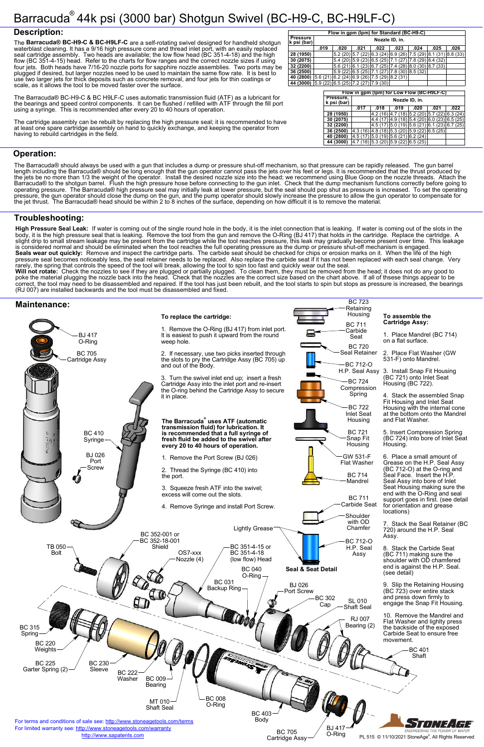# Barracuda<sup>®</sup> 44k psi (3000 bar) Shotgun Swivel (BC-H9-C, BC-H9LF-C)

#### **Description:**

| <b>Operation:</b> |  |  |
|-------------------|--|--|

## **Troubleshooting:**



The **Barracuda® BC-H9-C & BC-H9LF-C** are a self-rotating swivel designed for handheld shotgun waterblast cleaning. It has a 9/16 high pressure cone and thread inlet port, with an easily replaced seal cartridge assembly. Two heads are available; the low flow head (BC 351-4-18) and the high flow (BC 351-4-15) head. Refer to the charts for flow ranges and the correct nozzle sizes if using four jets. Both heads have 7/16-20 nozzle ports for sapphire nozzle assemblies. Two ports may be plugged if desired, but larger nozzles need to be used to maintain the same flow rate. It is best to use two larger jets for thick deposits such as concrete removal, and four jets for thin coatings or scale, as it allows the tool to be moved faster over the surface.

The Barracuda® BC-H9-C & BC H9LF-C uses automatic transmission fluid (ATF) as a lubricant for the bearings and speed control components. It can be flushed / refilled with ATF through the fill port using a syringe. This is recommended after every 20 to 40 hours of operation.

The cartridge assembly can be rebuilt by replacing the high pressure seal; it is recommended to have at least one spare cartridge assembly on hand to quickly exchange, and keeping the operator from having to rebuild cartridges in the field.

The Barracuda® should always be used with a gun that includes a dump or pressure shut-off mechanism, so that pressure can be rapidly released. The gun barrel length including the Barracuda® should be long enough that the gun operator cannot pass the jets over his feet or legs. It is recommended that the thrust produced by the jets be no more than 1/3 the weight of the operator. Install the desired nozzle size into the head; we recommend using Blue Goop on the nozzle threads. Attach the Barracuda® to the shotgun barrel. Flush the high pressure hose before connecting to the gun inlet. Check that the dump mechanism functions correctly before going to operating pressure. The Barracuda® high pressure seal may initially leak at lower pressure, but the seal should pop shut as pressure is increased. To set the operating pressure, the gun operator should close the dump on the gun, and the pump operator should slowly increase the pressure to allow the gun operator to compensate for the jet thrust. The Barracuda® head should be within 2 to 8 inches of the surface, depending on how difficult it is to remove the material.

**High Pressure Seal Leak:** If water is coming out of the single round hole in the body, it is the inlet connection that is leaking. If water is coming out of the slots in the body, it is the high pressure seal that is leaking. Remove the tool from the gun and remove the O-Ring (BJ 417) that holds in the cartridge. Replace the cartridge. A slight drip to small stream leakage may be present from the cartridge while the tool reaches pressure, this leak may gradually become present over time. This leakage is considered normal and should be eliminated when the tool reaches the full operating pressure as the dump or pressure shut-off mechanism is engaged. **Seals wear out quickly:** Remove and inspect the cartridge parts. The carbide seat should be checked for chips or erosion marks on it. When the life of the high pressure seal becomes noticeably less, the seal retainer needs to be replaced. Also replace the carbide seat if it has not been replaced with each seal change. Very

rarely, the spring that controls the speed of the tool will break, allowing the tool to spin too fast and quickly wear out the seal. **Will not rotate:** Check the nozzles to see if they are plugged or partially plugged. To clean them, they must be removed from the head; it does not do any good to poke the material plugging the nozzle back into the head. Check that the nozzles are the correct size based on the chart above. If all of thsese things appear to be correct, the tool may need to be disassembled and repaired. If the tool has just been rebuilt, and the tool starts to spin but stops as pressure is increased, the bearings (RJ 007) are installed backwards and the tool must be disassembled and fixed.



|                                | Flow in gpm (lpm) for Standard (BC-H9-C) |                                                         |      |                                                                        |      |      |      |      |
|--------------------------------|------------------------------------------|---------------------------------------------------------|------|------------------------------------------------------------------------|------|------|------|------|
| <b>Pressure</b><br>k psi (bar) | Nozzle ID, in.                           |                                                         |      |                                                                        |      |      |      |      |
|                                | .019                                     | .020                                                    | .021 | .022                                                                   | .023 | .024 | .025 | .026 |
| 28 (1950)                      |                                          |                                                         |      | $5.2(20)$   5.7 (22)  6.3 (24)  6.9 (26)  7.5 (29)  8.1 (31)  8.8 (33) |      |      |      |      |
| 30 (2075)                      |                                          |                                                         |      | $5.4(20)$   $5.9(23)$   $6.5(25)$   $7.1(27)$   $7.8(29)$   $8.4(32)$  |      |      |      |      |
| 32 (2200)                      |                                          |                                                         |      | $5.6(21)$ 6.1 (23) 6.7 (25) 7.4 (28) 8.0 (30) 8.7 (33)                 |      |      |      |      |
| 36 (2500)                      |                                          |                                                         |      | $5.9(22)$ 6.5 (25) 7.1 (27) 7.8 (30) 8.5 (32)                          |      |      |      |      |
| 40 (2800)                      |                                          | $(5.6 (21)   6.2 (24)   6.9 (26)   7.5 (29)   8.2 (31)$ |      |                                                                        |      |      |      |      |
| 44 (3000)                      |                                          | 5.9(22) 6.5(25) 7.2(27) 7.9(30)                         |      |                                                                        |      |      |      |      |

| Flow in gpm (lpm) for Low Flow (BC-H9LF-C) |                |                                   |                    |                                      |      |      |
|--------------------------------------------|----------------|-----------------------------------|--------------------|--------------------------------------|------|------|
| Pressure,<br>k psi (bar)                   | Nozzle ID, in. |                                   |                    |                                      |      |      |
|                                            | .017           | .018                              | .019               | .020                                 | .021 | .022 |
| 28 (1950)                                  |                | 4.2 (16                           | (18)               | 5.2(20) 5.7(22) 6.3(24)              |      |      |
| 30 (2075)                                  |                | 4.4                               |                    | $4.9(18)$ 5.4 (20) 6.0 (23) 6.5 (25) |      |      |
| 32 (2200)                                  |                | 4.5 (17                           |                    | $5.0(19)$ 5.6 (21) 6.1 (23) 6.7 (25) |      |      |
| 36 (2500)                                  | 4.3(16)        | 4.8(18)                           |                    | $5.3(20)$ $5.9(22)$ 6.5 (25)         |      |      |
| 40 (2800)                                  | 4.5 (17        | 5.0(19)                           | $5.6(21)$ 6.2 (24) |                                      |      |      |
| 44 (3000)                                  |                | $(18)$ 5.3 (20) 5.9 (22) 6.5 (25) |                    |                                      |      |      |

BC 723